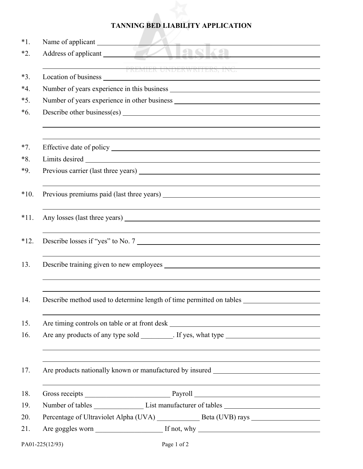## **TANNING BED LIABILITY APPLICATION**

| $*1$ . | Name of applicant                                                                                                      |
|--------|------------------------------------------------------------------------------------------------------------------------|
| $*2.$  | <u> Maska mas</u><br>Address of applicant                                                                              |
|        | PREMIER UNDERWRITERS, INC.                                                                                             |
| $*3.$  |                                                                                                                        |
| $*4.$  |                                                                                                                        |
| $*5.$  |                                                                                                                        |
| $*6.$  |                                                                                                                        |
|        |                                                                                                                        |
|        |                                                                                                                        |
| $*7.$  |                                                                                                                        |
| $*8.$  |                                                                                                                        |
| *9.    |                                                                                                                        |
|        |                                                                                                                        |
| $*10.$ |                                                                                                                        |
| $*11.$ |                                                                                                                        |
|        |                                                                                                                        |
| $*12.$ | Describe losses if "yes" to No. 7                                                                                      |
|        |                                                                                                                        |
| 13.    |                                                                                                                        |
|        |                                                                                                                        |
|        |                                                                                                                        |
| 14.    | Describe method used to determine length of time permitted on tables _                                                 |
| 15.    | <u> 1989 - Johann Stoff, deutscher Stoffen und der Stoffen und der Stoffen und der Stoffen und der Stoffen und der</u> |
| 16.    |                                                                                                                        |
|        |                                                                                                                        |
|        |                                                                                                                        |
| 17.    | Are products nationally known or manufactured by insured ________________________                                      |
| 18.    |                                                                                                                        |
| 19.    | Number of tables _______________________List manufacturer of tables ________________________________                   |
| 20.    |                                                                                                                        |
| 21.    |                                                                                                                        |
|        |                                                                                                                        |
|        | PA01-225(12/93)<br>Page 1 of 2                                                                                         |